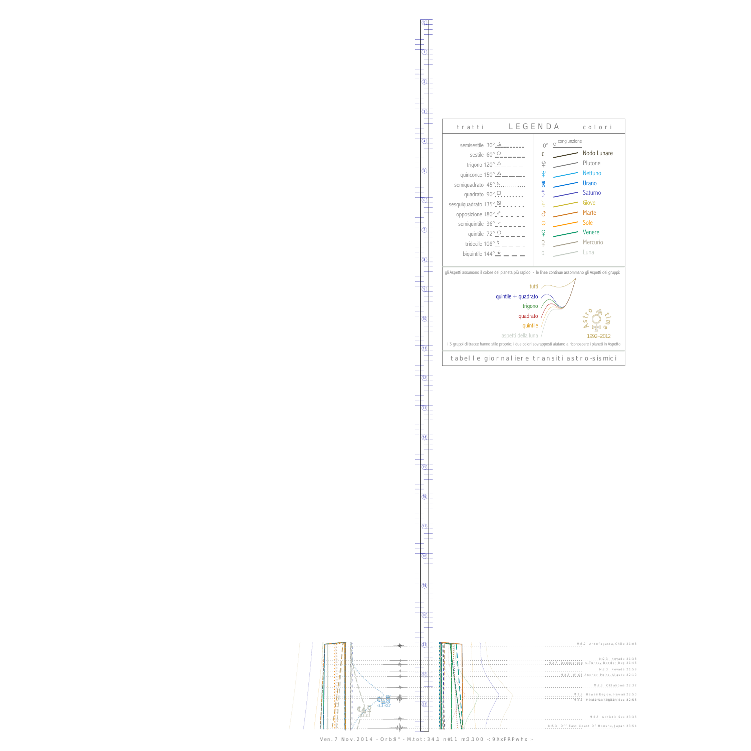$\begin{array}{c} \begin{array}{c} \begin{array}{c} \end{array}\\ \begin{array}{c} \end{array}\\ \begin{array}{c} \end{array}\\ \begin{array}{c} \end{array}\\ \begin{array}{c} \end{array}\\ \begin{array}{c} \end{array}\\ \begin{array}{c} \end{array}\\ \begin{array}{c} \end{array}\\ \begin{array}{c} \end{array}\\ \begin{array}{c} \end{array}\\ \begin{array}{c} \end{array}\\ \begin{array}{c} \end{array}\\ \begin{array}{c} \end{array}\\ \begin{array}{c} \end{array}\\ \begin{array}{c} \end{array}\\ \begin{array}{c} \end{array}\\ \begin{array}{c} \end{array}\\ \begin$